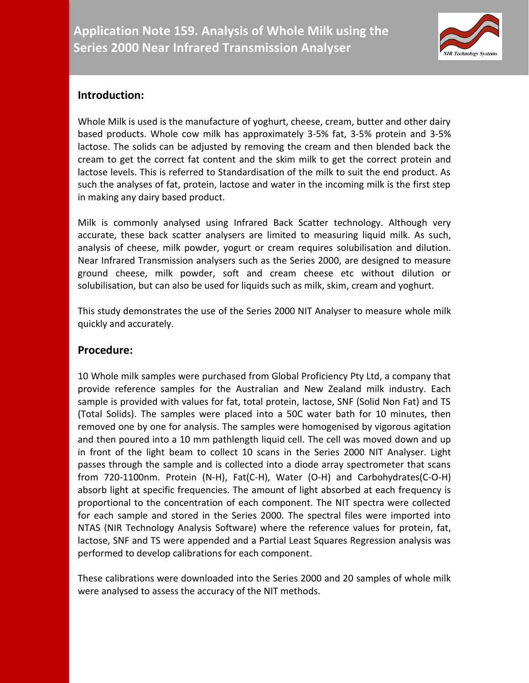

## **Introduction:**

Whole Milk is used is the manufacture of yoghurt, cheese, cream, butter and other dairy based products. Whole cow milk has approximately 3-5% fat, 3-5% protein and 3-5% lactose. The solids can be adjusted by removing the cream and then blended back the cream to get the correct fat content and the skim milk to get the correct protein and lactose levels. This is referred to Standardisation of the milk to suit the end product. As such the analyses of fat, protein, lactose and water in the incoming milk is the first step in making any dairy based product.

Milk is commonly analysed using Infrared Back Scatter technology. Although very accurate, these back scatter analysers are limited to measuring liquid milk. As such, analysis of cheese, milk powder, yogurt or cream requires solubilisation and dilution. Near Infrared Transmission analysers such as the Series 2000, are designed to measure ground cheese, milk powder, soft and cream cheese etc without dilution or solubilisation, but can also be used for liquids such as milk, skim, cream and yoghurt.

This study demonstrates the use of the Series 2000 NIT Analyser to measure whole milk quickly and accurately.

## **Procedure:**

10 Whole milk samples were purchased from Global Proficiency Pty Ltd, a company that provide reference samples for the Australian and New Zealand milk industry. Each sample is provided with values for fat, total protein, lactose, SNF (Solid Non Fat) and TS (Total Solids). The samples were placed into a 50C water bath for 10 minutes, then removed one by one for analysis. The samples were homogenised by vigorous agitation and then poured into a 10 mm pathlength liquid cell. The cell was moved down and up in front of the light beam to collect 10 scans in the Series 2000 NIT Analyser. Light passes through the sample and is collected into a diode array spectrometer that scans from 720-1100nm. Protein (N-H), Fat(C-H), Water (O-H) and Carbohydrates(C-O-H) absorb light at specific frequencies. The amount of light absorbed at each frequency is proportional to the concentration of each component. The NIT spectra were collected for each sample and stored in the Series 2000. The spectral files were imported into NTAS (NIR Technology Analysis Software) where the reference values for protein, fat, lactose, SNF and TS were appended and a Partial Least Squares Regression analysis was performed to develop calibrations for each component.

These calibrations were downloaded into the Series 2000 and 20 samples of whole milk were analysed to assess the accuracy of the NIT methods.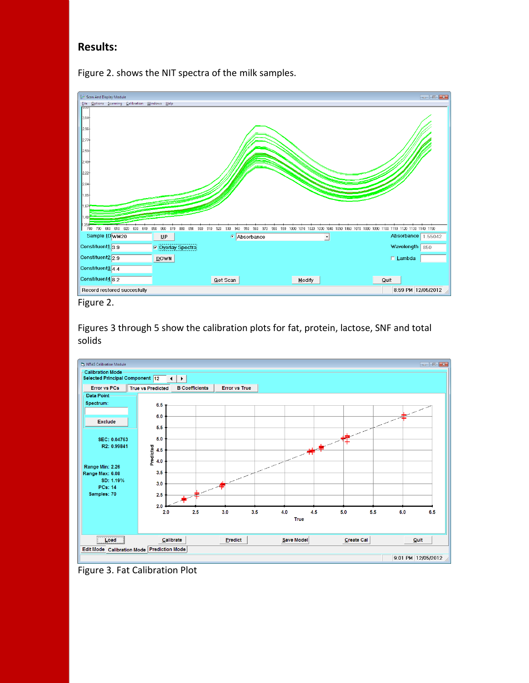## **Results:**

Figure 2. shows the NIT spectra of the milk samples.



Figures 3 through 5 show the calibration plots for fat, protein, lactose, SNF and total solids



Figure 3. Fat Calibration Plot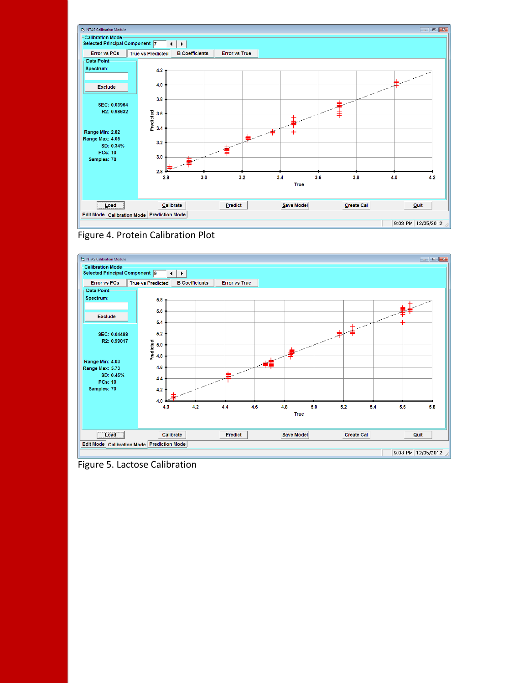





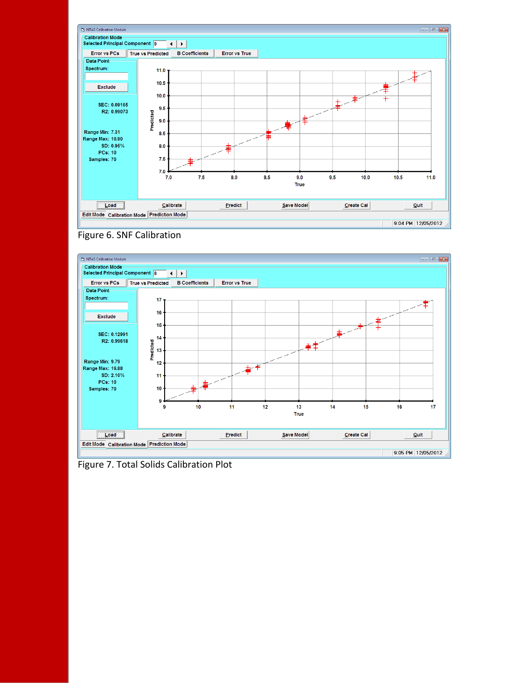





Figure 7. Total Solids Calibration Plot